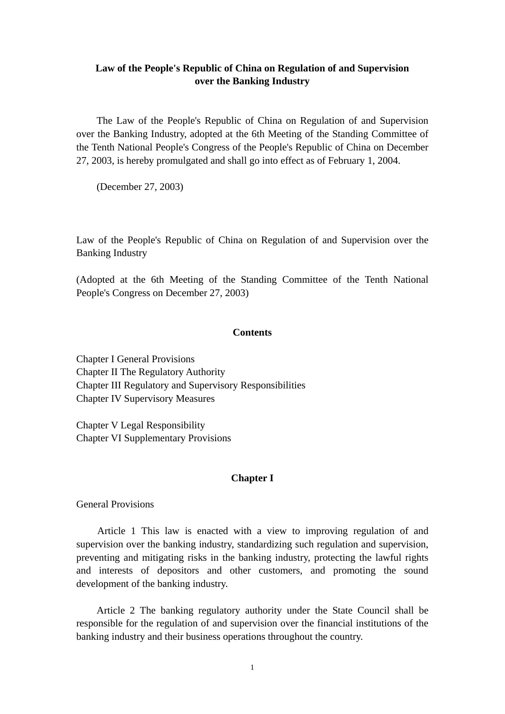# **Law of the People's Republic of China on Regulation of and Supervision over the Banking Industry**

 The Law of the People's Republic of China on Regulation of and Supervision over the Banking Industry, adopted at the 6th Meeting of the Standing Committee of the Tenth National People's Congress of the People's Republic of China on December 27, 2003, is hereby promulgated and shall go into effect as of February 1, 2004.

(December 27, 2003)

Law of the People's Republic of China on Regulation of and Supervision over the Banking Industry

(Adopted at the 6th Meeting of the Standing Committee of the Tenth National People's Congress on December 27, 2003)

## **Contents**

Chapter I General Provisions Chapter II The Regulatory Authority Chapter III Regulatory and Supervisory Responsibilities Chapter IV Supervisory Measures

Chapter V Legal Responsibility Chapter VI Supplementary Provisions

## **Chapter I**

General Provisions

 Article 1 This law is enacted with a view to improving regulation of and supervision over the banking industry, standardizing such regulation and supervision, preventing and mitigating risks in the banking industry, protecting the lawful rights and interests of depositors and other customers, and promoting the sound development of the banking industry.

 Article 2 The banking regulatory authority under the State Council shall be responsible for the regulation of and supervision over the financial institutions of the banking industry and their business operations throughout the country.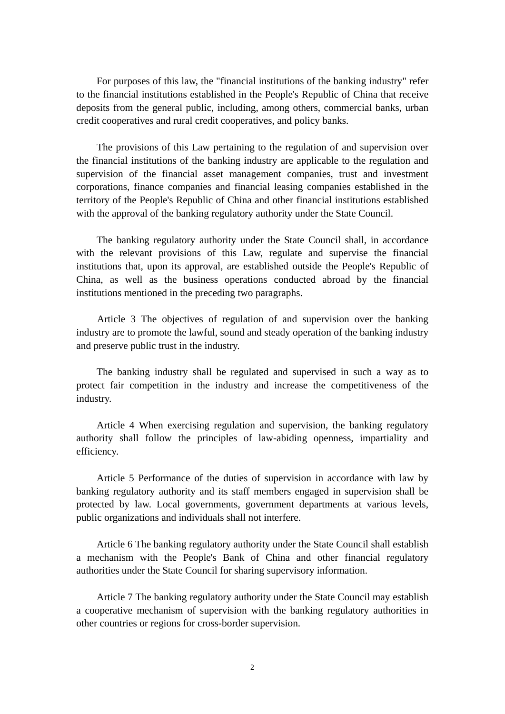For purposes of this law, the "financial institutions of the banking industry" refer to the financial institutions established in the People's Republic of China that receive deposits from the general public, including, among others, commercial banks, urban credit cooperatives and rural credit cooperatives, and policy banks.

 The provisions of this Law pertaining to the regulation of and supervision over the financial institutions of the banking industry are applicable to the regulation and supervision of the financial asset management companies, trust and investment corporations, finance companies and financial leasing companies established in the territory of the People's Republic of China and other financial institutions established with the approval of the banking regulatory authority under the State Council.

 The banking regulatory authority under the State Council shall, in accordance with the relevant provisions of this Law, regulate and supervise the financial institutions that, upon its approval, are established outside the People's Republic of China, as well as the business operations conducted abroad by the financial institutions mentioned in the preceding two paragraphs.

 Article 3 The objectives of regulation of and supervision over the banking industry are to promote the lawful, sound and steady operation of the banking industry and preserve public trust in the industry.

 The banking industry shall be regulated and supervised in such a way as to protect fair competition in the industry and increase the competitiveness of the industry.

 Article 4 When exercising regulation and supervision, the banking regulatory authority shall follow the principles of law-abiding openness, impartiality and efficiency.

 Article 5 Performance of the duties of supervision in accordance with law by banking regulatory authority and its staff members engaged in supervision shall be protected by law. Local governments, government departments at various levels, public organizations and individuals shall not interfere.

 Article 6 The banking regulatory authority under the State Council shall establish a mechanism with the People's Bank of China and other financial regulatory authorities under the State Council for sharing supervisory information.

 Article 7 The banking regulatory authority under the State Council may establish a cooperative mechanism of supervision with the banking regulatory authorities in other countries or regions for cross-border supervision.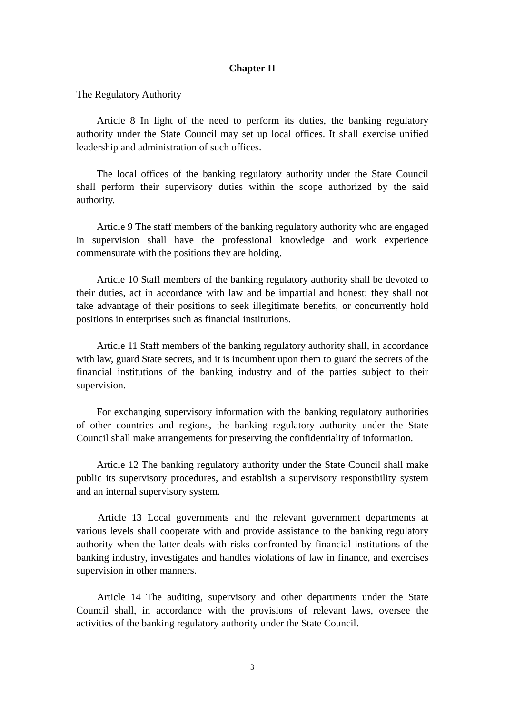### **Chapter II**

The Regulatory Authority

 Article 8 In light of the need to perform its duties, the banking regulatory authority under the State Council may set up local offices. It shall exercise unified leadership and administration of such offices.

 The local offices of the banking regulatory authority under the State Council shall perform their supervisory duties within the scope authorized by the said authority.

 Article 9 The staff members of the banking regulatory authority who are engaged in supervision shall have the professional knowledge and work experience commensurate with the positions they are holding.

 Article 10 Staff members of the banking regulatory authority shall be devoted to their duties, act in accordance with law and be impartial and honest; they shall not take advantage of their positions to seek illegitimate benefits, or concurrently hold positions in enterprises such as financial institutions.

 Article 11 Staff members of the banking regulatory authority shall, in accordance with law, guard State secrets, and it is incumbent upon them to guard the secrets of the financial institutions of the banking industry and of the parties subject to their supervision.

 For exchanging supervisory information with the banking regulatory authorities of other countries and regions, the banking regulatory authority under the State Council shall make arrangements for preserving the confidentiality of information.

 Article 12 The banking regulatory authority under the State Council shall make public its supervisory procedures, and establish a supervisory responsibility system and an internal supervisory system.

 Article 13 Local governments and the relevant government departments at various levels shall cooperate with and provide assistance to the banking regulatory authority when the latter deals with risks confronted by financial institutions of the banking industry, investigates and handles violations of law in finance, and exercises supervision in other manners.

 Article 14 The auditing, supervisory and other departments under the State Council shall, in accordance with the provisions of relevant laws, oversee the activities of the banking regulatory authority under the State Council.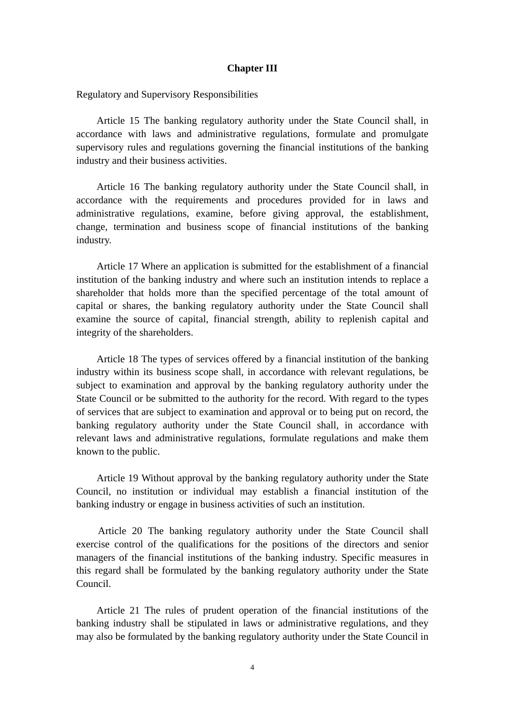#### **Chapter III**

Regulatory and Supervisory Responsibilities

 Article 15 The banking regulatory authority under the State Council shall, in accordance with laws and administrative regulations, formulate and promulgate supervisory rules and regulations governing the financial institutions of the banking industry and their business activities.

 Article 16 The banking regulatory authority under the State Council shall, in accordance with the requirements and procedures provided for in laws and administrative regulations, examine, before giving approval, the establishment, change, termination and business scope of financial institutions of the banking industry.

 Article 17 Where an application is submitted for the establishment of a financial institution of the banking industry and where such an institution intends to replace a shareholder that holds more than the specified percentage of the total amount of capital or shares, the banking regulatory authority under the State Council shall examine the source of capital, financial strength, ability to replenish capital and integrity of the shareholders.

 Article 18 The types of services offered by a financial institution of the banking industry within its business scope shall, in accordance with relevant regulations, be subject to examination and approval by the banking regulatory authority under the State Council or be submitted to the authority for the record. With regard to the types of services that are subject to examination and approval or to being put on record, the banking regulatory authority under the State Council shall, in accordance with relevant laws and administrative regulations, formulate regulations and make them known to the public.

 Article 19 Without approval by the banking regulatory authority under the State Council, no institution or individual may establish a financial institution of the banking industry or engage in business activities of such an institution.

 Article 20 The banking regulatory authority under the State Council shall exercise control of the qualifications for the positions of the directors and senior managers of the financial institutions of the banking industry. Specific measures in this regard shall be formulated by the banking regulatory authority under the State Council.

 Article 21 The rules of prudent operation of the financial institutions of the banking industry shall be stipulated in laws or administrative regulations, and they may also be formulated by the banking regulatory authority under the State Council in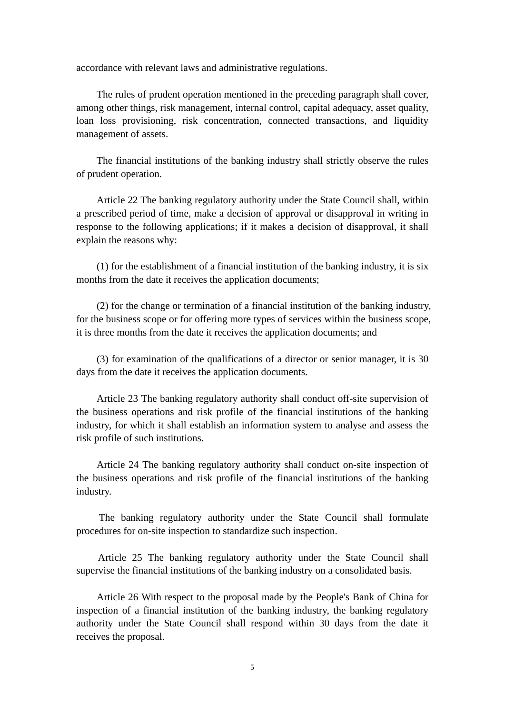accordance with relevant laws and administrative regulations.

 The rules of prudent operation mentioned in the preceding paragraph shall cover, among other things, risk management, internal control, capital adequacy, asset quality, loan loss provisioning, risk concentration, connected transactions, and liquidity management of assets.

 The financial institutions of the banking industry shall strictly observe the rules of prudent operation.

 Article 22 The banking regulatory authority under the State Council shall, within a prescribed period of time, make a decision of approval or disapproval in writing in response to the following applications; if it makes a decision of disapproval, it shall explain the reasons why:

 (1) for the establishment of a financial institution of the banking industry, it is six months from the date it receives the application documents;

 (2) for the change or termination of a financial institution of the banking industry, for the business scope or for offering more types of services within the business scope, it is three months from the date it receives the application documents; and

 (3) for examination of the qualifications of a director or senior manager, it is 30 days from the date it receives the application documents.

 Article 23 The banking regulatory authority shall conduct off-site supervision of the business operations and risk profile of the financial institutions of the banking industry, for which it shall establish an information system to analyse and assess the risk profile of such institutions.

 Article 24 The banking regulatory authority shall conduct on-site inspection of the business operations and risk profile of the financial institutions of the banking industry.

 The banking regulatory authority under the State Council shall formulate procedures for on-site inspection to standardize such inspection.

 Article 25 The banking regulatory authority under the State Council shall supervise the financial institutions of the banking industry on a consolidated basis.

 Article 26 With respect to the proposal made by the People's Bank of China for inspection of a financial institution of the banking industry, the banking regulatory authority under the State Council shall respond within 30 days from the date it receives the proposal.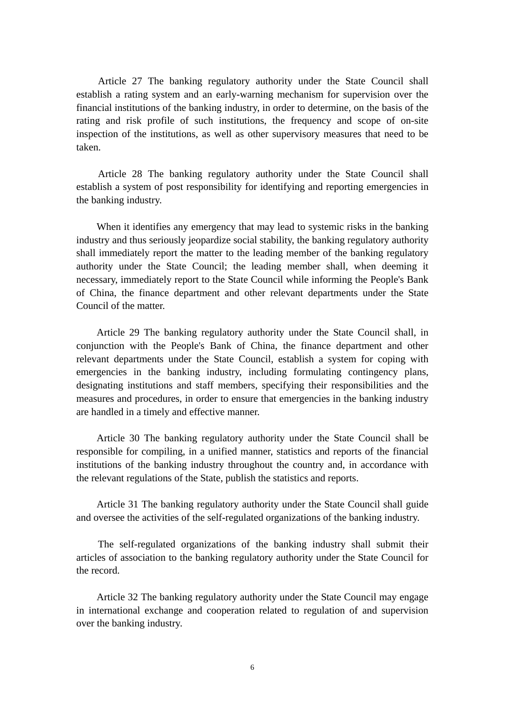Article 27 The banking regulatory authority under the State Council shall establish a rating system and an early-warning mechanism for supervision over the financial institutions of the banking industry, in order to determine, on the basis of the rating and risk profile of such institutions, the frequency and scope of on-site inspection of the institutions, as well as other supervisory measures that need to be taken.

 Article 28 The banking regulatory authority under the State Council shall establish a system of post responsibility for identifying and reporting emergencies in the banking industry.

 When it identifies any emergency that may lead to systemic risks in the banking industry and thus seriously jeopardize social stability, the banking regulatory authority shall immediately report the matter to the leading member of the banking regulatory authority under the State Council; the leading member shall, when deeming it necessary, immediately report to the State Council while informing the People's Bank of China, the finance department and other relevant departments under the State Council of the matter.

 Article 29 The banking regulatory authority under the State Council shall, in conjunction with the People's Bank of China, the finance department and other relevant departments under the State Council, establish a system for coping with emergencies in the banking industry, including formulating contingency plans, designating institutions and staff members, specifying their responsibilities and the measures and procedures, in order to ensure that emergencies in the banking industry are handled in a timely and effective manner.

 Article 30 The banking regulatory authority under the State Council shall be responsible for compiling, in a unified manner, statistics and reports of the financial institutions of the banking industry throughout the country and, in accordance with the relevant regulations of the State, publish the statistics and reports.

 Article 31 The banking regulatory authority under the State Council shall guide and oversee the activities of the self-regulated organizations of the banking industry.

 The self-regulated organizations of the banking industry shall submit their articles of association to the banking regulatory authority under the State Council for the record.

 Article 32 The banking regulatory authority under the State Council may engage in international exchange and cooperation related to regulation of and supervision over the banking industry.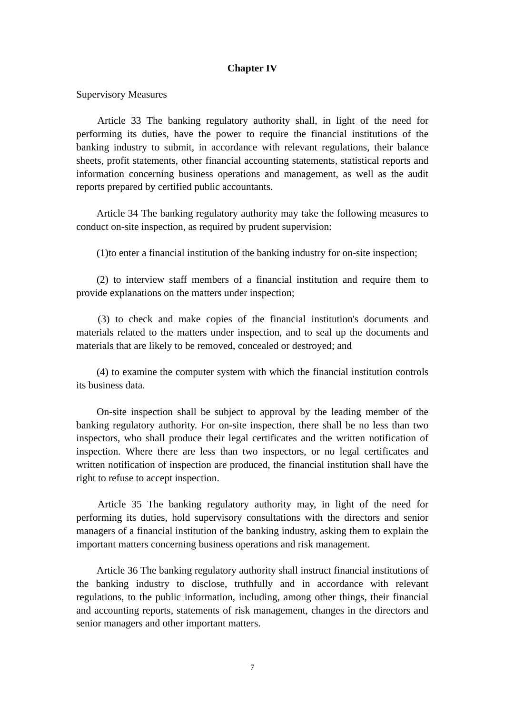### **Chapter IV**

Supervisory Measures

 Article 33 The banking regulatory authority shall, in light of the need for performing its duties, have the power to require the financial institutions of the banking industry to submit, in accordance with relevant regulations, their balance sheets, profit statements, other financial accounting statements, statistical reports and information concerning business operations and management, as well as the audit reports prepared by certified public accountants.

 Article 34 The banking regulatory authority may take the following measures to conduct on-site inspection, as required by prudent supervision:

(1)to enter a financial institution of the banking industry for on-site inspection;

 (2) to interview staff members of a financial institution and require them to provide explanations on the matters under inspection;

 (3) to check and make copies of the financial institution's documents and materials related to the matters under inspection, and to seal up the documents and materials that are likely to be removed, concealed or destroyed; and

 (4) to examine the computer system with which the financial institution controls its business data.

 On-site inspection shall be subject to approval by the leading member of the banking regulatory authority. For on-site inspection, there shall be no less than two inspectors, who shall produce their legal certificates and the written notification of inspection. Where there are less than two inspectors, or no legal certificates and written notification of inspection are produced, the financial institution shall have the right to refuse to accept inspection.

 Article 35 The banking regulatory authority may, in light of the need for performing its duties, hold supervisory consultations with the directors and senior managers of a financial institution of the banking industry, asking them to explain the important matters concerning business operations and risk management.

 Article 36 The banking regulatory authority shall instruct financial institutions of the banking industry to disclose, truthfully and in accordance with relevant regulations, to the public information, including, among other things, their financial and accounting reports, statements of risk management, changes in the directors and senior managers and other important matters.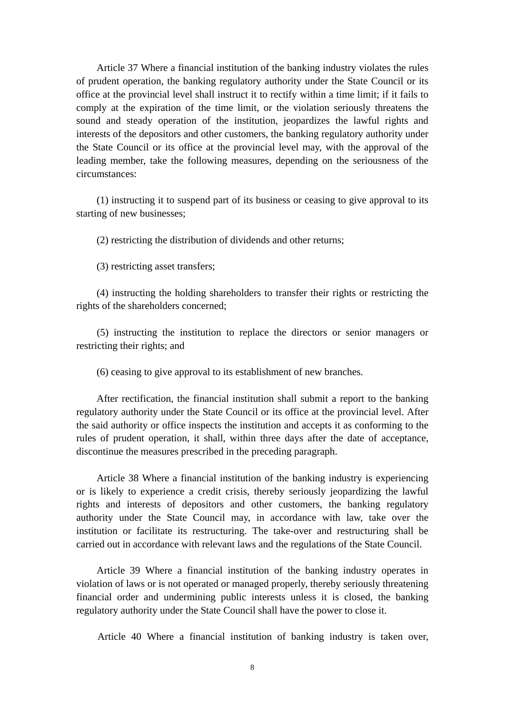Article 37 Where a financial institution of the banking industry violates the rules of prudent operation, the banking regulatory authority under the State Council or its office at the provincial level shall instruct it to rectify within a time limit; if it fails to comply at the expiration of the time limit, or the violation seriously threatens the sound and steady operation of the institution, jeopardizes the lawful rights and interests of the depositors and other customers, the banking regulatory authority under the State Council or its office at the provincial level may, with the approval of the leading member, take the following measures, depending on the seriousness of the circumstances:

 (1) instructing it to suspend part of its business or ceasing to give approval to its starting of new businesses;

(2) restricting the distribution of dividends and other returns;

(3) restricting asset transfers;

 (4) instructing the holding shareholders to transfer their rights or restricting the rights of the shareholders concerned;

 (5) instructing the institution to replace the directors or senior managers or restricting their rights; and

(6) ceasing to give approval to its establishment of new branches.

 After rectification, the financial institution shall submit a report to the banking regulatory authority under the State Council or its office at the provincial level. After the said authority or office inspects the institution and accepts it as conforming to the rules of prudent operation, it shall, within three days after the date of acceptance, discontinue the measures prescribed in the preceding paragraph.

 Article 38 Where a financial institution of the banking industry is experiencing or is likely to experience a credit crisis, thereby seriously jeopardizing the lawful rights and interests of depositors and other customers, the banking regulatory authority under the State Council may, in accordance with law, take over the institution or facilitate its restructuring. The take-over and restructuring shall be carried out in accordance with relevant laws and the regulations of the State Council.

 Article 39 Where a financial institution of the banking industry operates in violation of laws or is not operated or managed properly, thereby seriously threatening financial order and undermining public interests unless it is closed, the banking regulatory authority under the State Council shall have the power to close it.

Article 40 Where a financial institution of banking industry is taken over,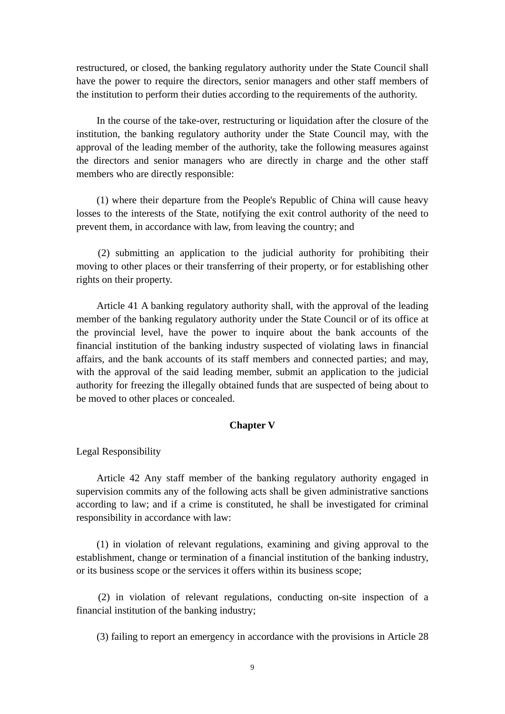restructured, or closed, the banking regulatory authority under the State Council shall have the power to require the directors, senior managers and other staff members of the institution to perform their duties according to the requirements of the authority.

 In the course of the take-over, restructuring or liquidation after the closure of the institution, the banking regulatory authority under the State Council may, with the approval of the leading member of the authority, take the following measures against the directors and senior managers who are directly in charge and the other staff members who are directly responsible:

 (1) where their departure from the People's Republic of China will cause heavy losses to the interests of the State, notifying the exit control authority of the need to prevent them, in accordance with law, from leaving the country; and

 (2) submitting an application to the judicial authority for prohibiting their moving to other places or their transferring of their property, or for establishing other rights on their property.

 Article 41 A banking regulatory authority shall, with the approval of the leading member of the banking regulatory authority under the State Council or of its office at the provincial level, have the power to inquire about the bank accounts of the financial institution of the banking industry suspected of violating laws in financial affairs, and the bank accounts of its staff members and connected parties; and may, with the approval of the said leading member, submit an application to the judicial authority for freezing the illegally obtained funds that are suspected of being about to be moved to other places or concealed.

## **Chapter V**

Legal Responsibility

 Article 42 Any staff member of the banking regulatory authority engaged in supervision commits any of the following acts shall be given administrative sanctions according to law; and if a crime is constituted, he shall be investigated for criminal responsibility in accordance with law:

 (1) in violation of relevant regulations, examining and giving approval to the establishment, change or termination of a financial institution of the banking industry, or its business scope or the services it offers within its business scope;

 (2) in violation of relevant regulations, conducting on-site inspection of a financial institution of the banking industry;

(3) failing to report an emergency in accordance with the provisions in Article 28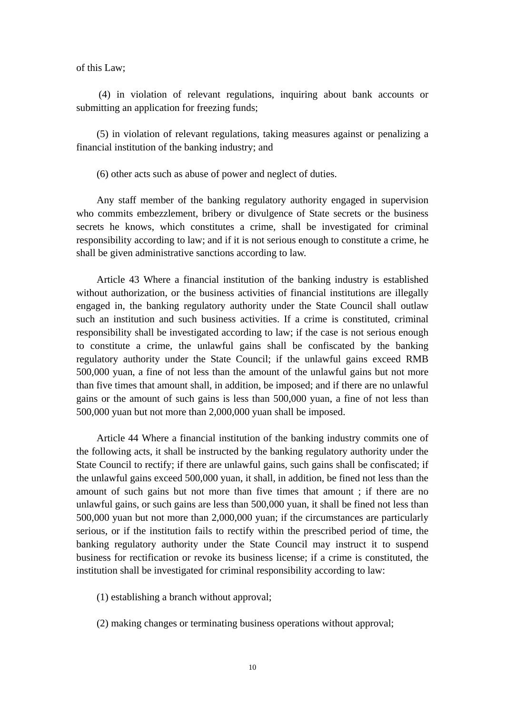of this Law;

 (4) in violation of relevant regulations, inquiring about bank accounts or submitting an application for freezing funds;

 (5) in violation of relevant regulations, taking measures against or penalizing a financial institution of the banking industry; and

(6) other acts such as abuse of power and neglect of duties.

 Any staff member of the banking regulatory authority engaged in supervision who commits embezzlement, bribery or divulgence of State secrets or the business secrets he knows, which constitutes a crime, shall be investigated for criminal responsibility according to law; and if it is not serious enough to constitute a crime, he shall be given administrative sanctions according to law.

 Article 43 Where a financial institution of the banking industry is established without authorization, or the business activities of financial institutions are illegally engaged in, the banking regulatory authority under the State Council shall outlaw such an institution and such business activities. If a crime is constituted, criminal responsibility shall be investigated according to law; if the case is not serious enough to constitute a crime, the unlawful gains shall be confiscated by the banking regulatory authority under the State Council; if the unlawful gains exceed RMB 500,000 yuan, a fine of not less than the amount of the unlawful gains but not more than five times that amount shall, in addition, be imposed; and if there are no unlawful gains or the amount of such gains is less than 500,000 yuan, a fine of not less than 500,000 yuan but not more than 2,000,000 yuan shall be imposed.

 Article 44 Where a financial institution of the banking industry commits one of the following acts, it shall be instructed by the banking regulatory authority under the State Council to rectify; if there are unlawful gains, such gains shall be confiscated; if the unlawful gains exceed 500,000 yuan, it shall, in addition, be fined not less than the amount of such gains but not more than five times that amount ; if there are no unlawful gains, or such gains are less than 500,000 yuan, it shall be fined not less than 500,000 yuan but not more than 2,000,000 yuan; if the circumstances are particularly serious, or if the institution fails to rectify within the prescribed period of time, the banking regulatory authority under the State Council may instruct it to suspend business for rectification or revoke its business license; if a crime is constituted, the institution shall be investigated for criminal responsibility according to law:

- (1) establishing a branch without approval;
- (2) making changes or terminating business operations without approval;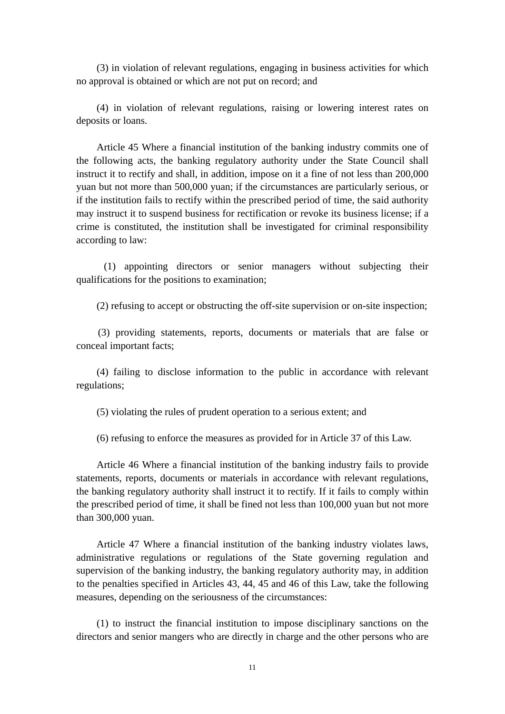(3) in violation of relevant regulations, engaging in business activities for which no approval is obtained or which are not put on record; and

 (4) in violation of relevant regulations, raising or lowering interest rates on deposits or loans.

 Article 45 Where a financial institution of the banking industry commits one of the following acts, the banking regulatory authority under the State Council shall instruct it to rectify and shall, in addition, impose on it a fine of not less than 200,000 yuan but not more than 500,000 yuan; if the circumstances are particularly serious, or if the institution fails to rectify within the prescribed period of time, the said authority may instruct it to suspend business for rectification or revoke its business license; if a crime is constituted, the institution shall be investigated for criminal responsibility according to law:

 (1) appointing directors or senior managers without subjecting their qualifications for the positions to examination;

(2) refusing to accept or obstructing the off-site supervision or on-site inspection;

 (3) providing statements, reports, documents or materials that are false or conceal important facts;

 (4) failing to disclose information to the public in accordance with relevant regulations;

(5) violating the rules of prudent operation to a serious extent; and

(6) refusing to enforce the measures as provided for in Article 37 of this Law.

 Article 46 Where a financial institution of the banking industry fails to provide statements, reports, documents or materials in accordance with relevant regulations, the banking regulatory authority shall instruct it to rectify. If it fails to comply within the prescribed period of time, it shall be fined not less than 100,000 yuan but not more than 300,000 yuan.

 Article 47 Where a financial institution of the banking industry violates laws, administrative regulations or regulations of the State governing regulation and supervision of the banking industry, the banking regulatory authority may, in addition to the penalties specified in Articles 43, 44, 45 and 46 of this Law, take the following measures, depending on the seriousness of the circumstances:

 (1) to instruct the financial institution to impose disciplinary sanctions on the directors and senior mangers who are directly in charge and the other persons who are